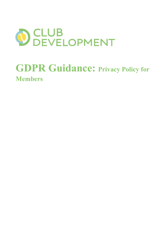

# GDPR Guidance: Privacy Policy for Members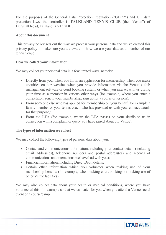For the purposes of the General Data Protection Regulation ("GDPR") and UK data protection laws, the controller is FALKLAND TENNIS CLUB (the "Venue") of Dunshalt Road, Falkland, KY15 7DB .

#### About this document

This privacy policy sets out the way we process your personal data and we've created this privacy policy to make sure you are aware of how we use your data as a member of our tennis venue.

#### How we collect your information

We may collect your personal data in a few limited ways, namely:

- Directly from you, when you fill in an application for membership, when you make enquiries on our website, when you provide information via the Venue's club management software or court booking system, or when you interact with us during your time as a member in various other ways (for example, where you enter a competition, renew your membership, sign up for a course or lessons);
- From someone else who has applied for membership on your behalf (for example a family member or your tennis coach who has provided us with your contact details for that purpose);
- From the LTA (for example, where the LTA passes on your details to us in connection with a complaint or query you have raised about our Venue).

### The types of information we collect

We may collect the following types of personal data about you:

- Contact and communications information, including your contact details (including email address(es), telephone numbers and postal address(es) and records of communications and interactions we have had with you);
- Financial information, including Direct Debit details;
- Certain other information which you volunteer when making use of your membership benefits (for example, when making court bookings or making use of other Venue facilities).

We may also collect data about your health or medical conditions, where you have volunteered this, for example so that we can cater for you when you attend a Venue social event or a course/camp.

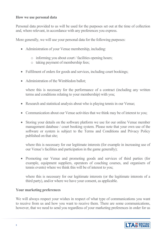#### How we use personal data

Personal data provided to us will be used for the purposes set out at the time of collection and, where relevant, in accordance with any preferences you express.

More generally, we will use your personal data for the following purposes:

- Administration of your Venue membership, including:
	- o informing you about court / facilities opening hours;
	- o taking payment of membership fees;
- Fulfilment of orders for goods and services, including court bookings;
- Administration of the Wimbledon ballot;

where this is necessary for the performance of a contract (including any written terms and conditions relating to your membership) with you;

- Research and statistical analysis about who is playing tennis in our Venue;
- Communication about our Venue activities that we think may be of interest to you;
- Storing your details on the software platform we use for our online Venue member management database / court booking system. Please note that your own use of the software or system is subject to the Terms and Conditions and Privacy Policy published on that site;

where this is necessary for our legitimate interests (for example in increasing use of our Venue's facilities and participation in the game generally);

• Promoting our Venue and promoting goods and services of third parties (for example, equipment suppliers, operators of coaching courses, and organisers of tennis events) where we think this will be of interest to you;

where this is necessary for our legitimate interests (or the legitimate interests of a third party), and/or where we have your consent, as applicable.

#### Your marketing preferences

We will always respect your wishes in respect of what type of communications you want to receive from us and how you want to receive them. There are some communications, however, that we need to send you regardless of your marketing preferences in order for us

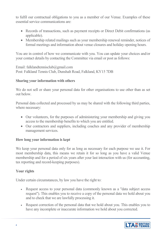to fulfil our contractual obligations to you as a member of our Venue. Examples of these essential service communications are:

- Records of transactions, such as payment receipts or Direct Debit confirmations (as applicable).
- Membership related mailings such as your membership renewal reminder, notices of formal meetings and information about venue closures and holiday opening hours.

You are in control of how we communicate with you. You can update your choices and/or your contact details by contacting the Committee via email or post as follows:

Email: falklandtennisclub@gmail.com Post: Falkland Tennis Club, Dunshalt Road, Falkland, KY15 7DB

## Sharing your information with others

We do not sell or share your personal data for other organisations to use other than as set out below.

Personal data collected and processed by us may be shared with the following third parties, where necessary:

- Our volunteers, for the purposes of administering your membership and giving you access to the membership benefits to which you are entitled.
- Our contractors and suppliers, including coaches and any provider of membership management services.

# How long your information is kept

We keep your personal data only for as long as necessary for each purpose we use it. For most membership data, this means we retain it for so long as you have a valid Venue membership and for a period of six years after your last interaction with us (for accounting, tax reporting and record-keeping purposes).

# Your rights

Under certain circumstances, by law you have the right to:

- Request access to your personal data (commonly known as a "data subject access") request"). This enables you to receive a copy of the personal data we hold about you and to check that we are lawfully processing it.
- Request correction of the personal data that we hold about you. This enables you to have any incomplete or inaccurate information we hold about you corrected.